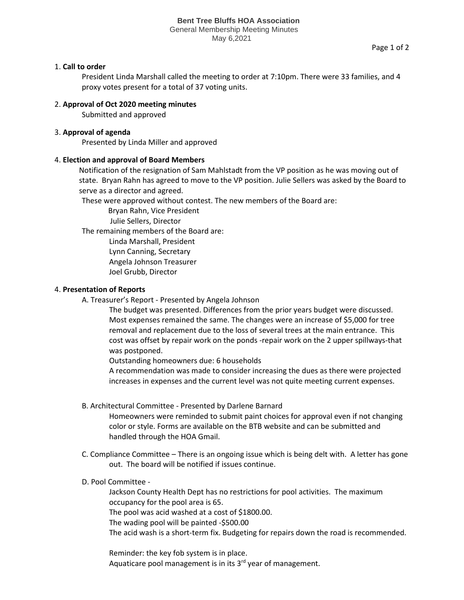#### **Bent Tree Bluffs HOA Association** General Membership Meeting Minutes May 6,2021

Page 1 of 2

# 1. **Call to order**

President Linda Marshall called the meeting to order at 7:10pm. There were 33 families, and 4 proxy votes present for a total of 37 voting units.

# 2. **Approval of Oct 2020 meeting minutes**

Submitted and approved

# 3. **Approval of agenda**

Presented by Linda Miller and approved

### 4. **Election and approval of Board Members**

Notification of the resignation of Sam Mahlstadt from the VP position as he was moving out of state. Bryan Rahn has agreed to move to the VP position. Julie Sellers was asked by the Board to serve as a director and agreed.

These were approved without contest. The new members of the Board are:

Bryan Rahn, Vice President

Julie Sellers, Director

The remaining members of the Board are:

 Linda Marshall, President Lynn Canning, Secretary Angela Johnson Treasurer

Joel Grubb, Director

### 4. **Presentation of Reports**

A. Treasurer's Report - Presented by Angela Johnson

The budget was presented. Differences from the prior years budget were discussed. Most expenses remained the same. The changes were an increase of \$5,000 for tree removal and replacement due to the loss of several trees at the main entrance. This cost was offset by repair work on the ponds -repair work on the 2 upper spillways-that was postponed.

Outstanding homeowners due: 6 households

A recommendation was made to consider increasing the dues as there were projected increases in expenses and the current level was not quite meeting current expenses.

B. Architectural Committee - Presented by Darlene Barnard

Homeowners were reminded to submit paint choices for approval even if not changing color or style. Forms are available on the BTB website and can be submitted and handled through the HOA Gmail.

- C. Compliance Committee There is an ongoing issue which is being delt with. A letter has gone out. The board will be notified if issues continue.
- D. Pool Committee -

Jackson County Health Dept has no restrictions for pool activities. The maximum occupancy for the pool area is 65. The pool was acid washed at a cost of \$1800.00. The wading pool will be painted -\$500.00 The acid wash is a short-term fix. Budgeting for repairs down the road is recommended.

Reminder: the key fob system is in place. Aquaticare pool management is in its  $3<sup>rd</sup>$  year of management.